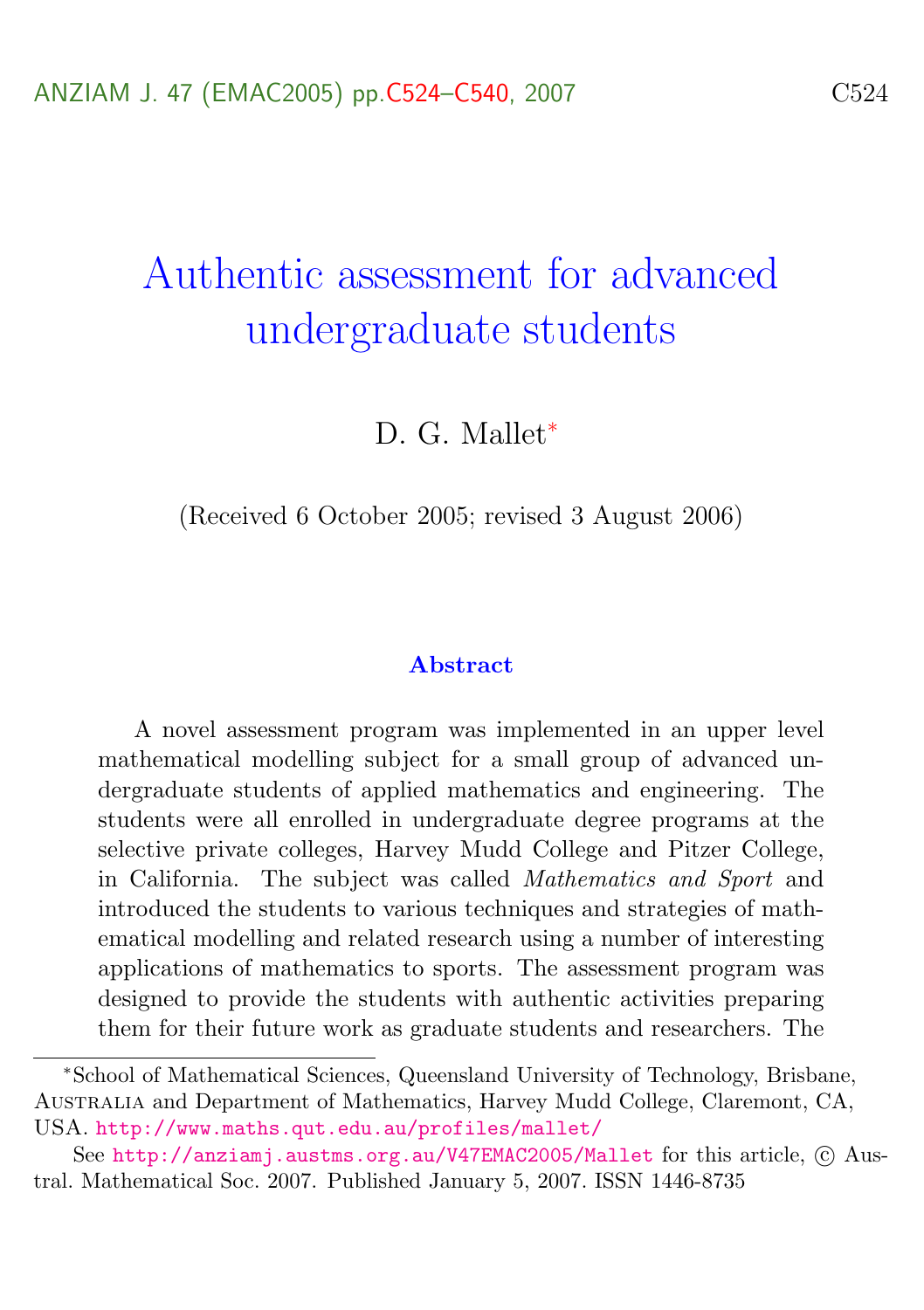# Authentic assessment for advanced undergraduate students

D. G. Mallet<sup>\*</sup>

(Received 6 October 2005; revised 3 August 2006)

#### Abstract

A novel assessment program was implemented in an upper level mathematical modelling subject for a small group of advanced undergraduate students of applied mathematics and engineering. The students were all enrolled in undergraduate degree programs at the selective private colleges, Harvey Mudd College and Pitzer College, in California. The subject was called Mathematics and Sport and introduced the students to various techniques and strategies of mathematical modelling and related research using a number of interesting applications of mathematics to sports. The assessment program was designed to provide the students with authentic activities preparing them for their future work as graduate students and researchers. The

<sup>∗</sup>School of Mathematical Sciences, Queensland University of Technology, Brisbane, Australia and Department of Mathematics, Harvey Mudd College, Claremont, CA, USA. <http://www.maths.qut.edu.au/profiles/mallet/>

See <http://anziamj.austms.org.au/V47EMAC2005/Mallet> for this article, © Austral. Mathematical Soc. 2007. Published January 5, 2007. ISSN 1446-8735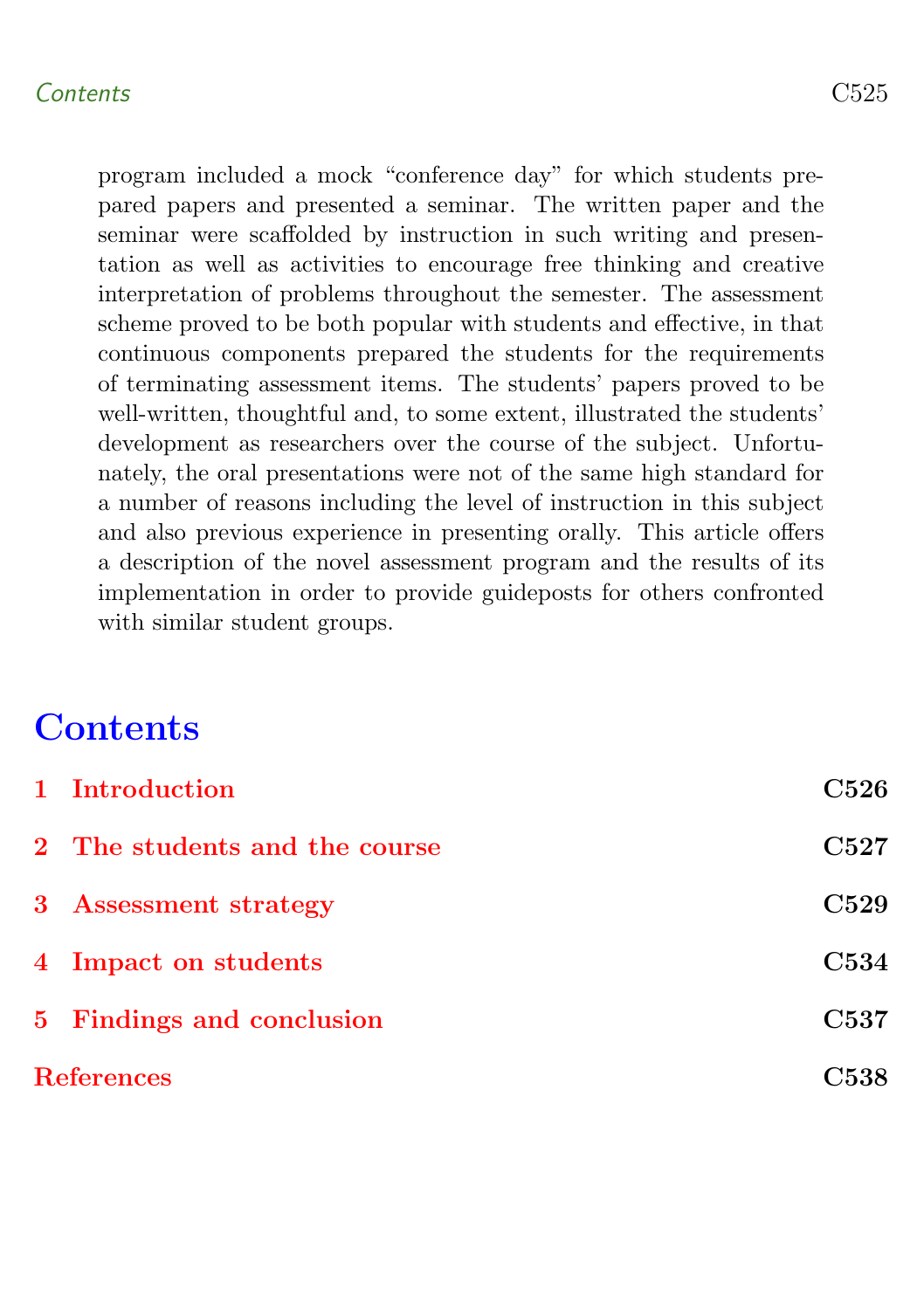## Contents C525

program included a mock "conference day" for which students prepared papers and presented a seminar. The written paper and the seminar were scaffolded by instruction in such writing and presentation as well as activities to encourage free thinking and creative interpretation of problems throughout the semester. The assessment scheme proved to be both popular with students and effective, in that continuous components prepared the students for the requirements of terminating assessment items. The students' papers proved to be well-written, thoughtful and, to some extent, illustrated the students' development as researchers over the course of the subject. Unfortunately, the oral presentations were not of the same high standard for a number of reasons including the level of instruction in this subject and also previous experience in presenting orally. This article offers a description of the novel assessment program and the results of its implementation in order to provide guideposts for others confronted with similar student groups.

# **Contents**

<span id="page-1-0"></span>

| 1 Introduction                | <b>C526</b>      |
|-------------------------------|------------------|
| 2 The students and the course | C527             |
| 3 Assessment strategy         | C <sub>529</sub> |
| 4 Impact on students          | C534             |
| 5 Findings and conclusion     | C537             |
| <b>References</b>             | C538             |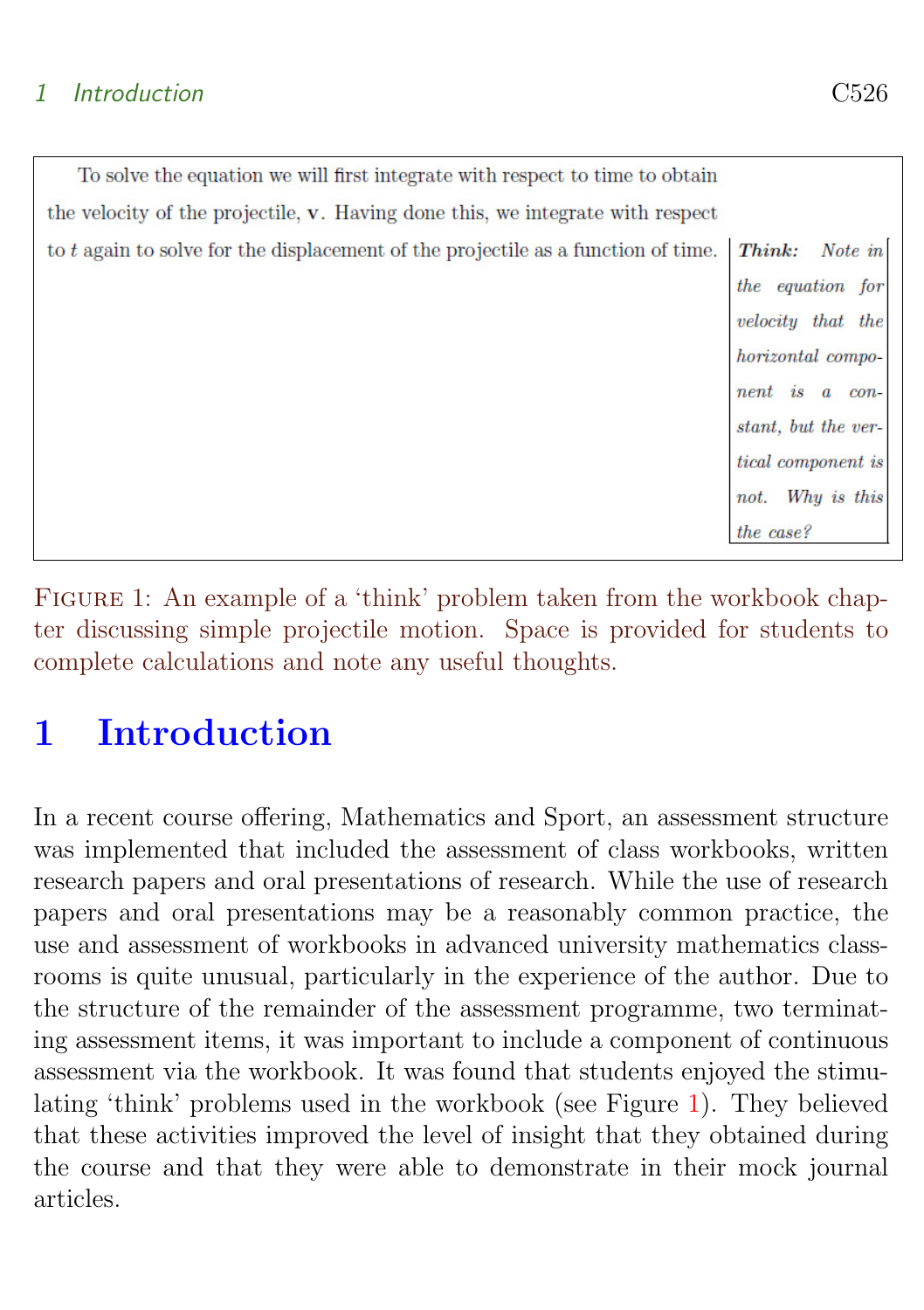## 1 Introduction C526

| To solve the equation we will first integrate with respect to time to obtain      |                           |
|-----------------------------------------------------------------------------------|---------------------------|
| the velocity of the projectile, v. Having done this, we integrate with respect    |                           |
| to t again to solve for the displacement of the projectile as a function of time. | Note in<br>Think:         |
|                                                                                   | the equation for          |
|                                                                                   | velocity that the         |
|                                                                                   | horizontal compo-         |
|                                                                                   | nent is a<br>$con-$       |
|                                                                                   | stant, but the ver-       |
|                                                                                   | <i>tical component is</i> |
|                                                                                   | Why is this<br>not.       |
|                                                                                   | the case?                 |

<span id="page-2-0"></span>FIGURE 1: An example of a 'think' problem taken from the workbook chapter discussing simple projectile motion. Space is provided for students to complete calculations and note any useful thoughts.

# 1 Introduction

In a recent course offering, Mathematics and Sport, an assessment structure was implemented that included the assessment of class workbooks, written research papers and oral presentations of research. While the use of research papers and oral presentations may be a reasonably common practice, the use and assessment of workbooks in advanced university mathematics classrooms is quite unusual, particularly in the experience of the author. Due to the structure of the remainder of the assessment programme, two terminating assessment items, it was important to include a component of continuous assessment via the workbook. It was found that students enjoyed the stimulating 'think' problems used in the workbook (see Figure [1\)](#page-2-0). They believed that these activities improved the level of insight that they obtained during the course and that they were able to demonstrate in their mock journal articles.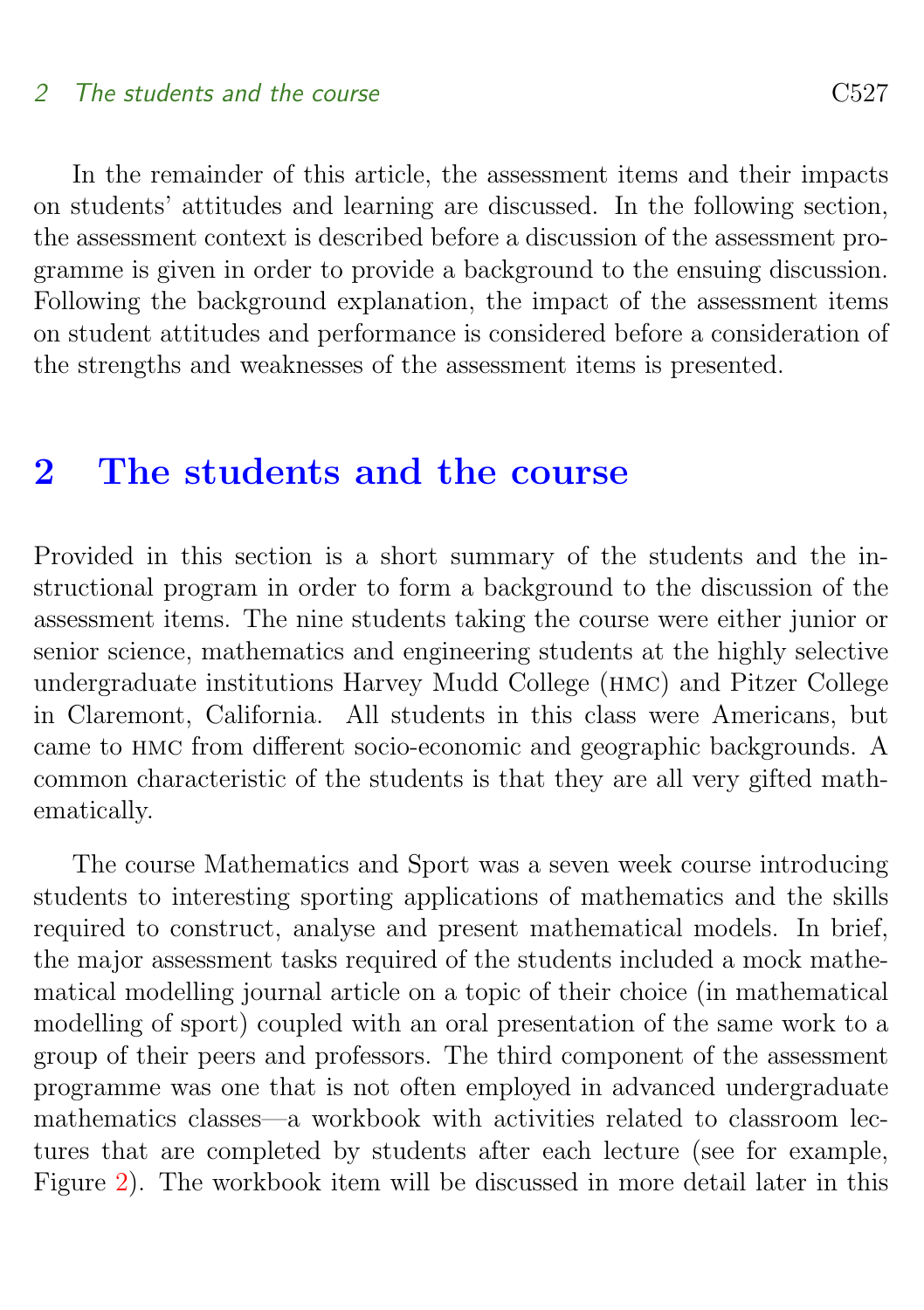### 2 The students and the course C527

In the remainder of this article, the assessment items and their impacts on students' attitudes and learning are discussed. In the following section, the assessment context is described before a discussion of the assessment programme is given in order to provide a background to the ensuing discussion. Following the background explanation, the impact of the assessment items on student attitudes and performance is considered before a consideration of the strengths and weaknesses of the assessment items is presented.

# <span id="page-3-0"></span>2 The students and the course

Provided in this section is a short summary of the students and the instructional program in order to form a background to the discussion of the assessment items. The nine students taking the course were either junior or senior science, mathematics and engineering students at the highly selective undergraduate institutions Harvey Mudd College (hmc) and Pitzer College in Claremont, California. All students in this class were Americans, but came to hmc from different socio-economic and geographic backgrounds. A common characteristic of the students is that they are all very gifted mathematically.

The course Mathematics and Sport was a seven week course introducing students to interesting sporting applications of mathematics and the skills required to construct, analyse and present mathematical models. In brief, the major assessment tasks required of the students included a mock mathematical modelling journal article on a topic of their choice (in mathematical modelling of sport) coupled with an oral presentation of the same work to a group of their peers and professors. The third component of the assessment programme was one that is not often employed in advanced undergraduate mathematics classes—a workbook with activities related to classroom lectures that are completed by students after each lecture (see for example, Figure [2\)](#page-4-1). The workbook item will be discussed in more detail later in this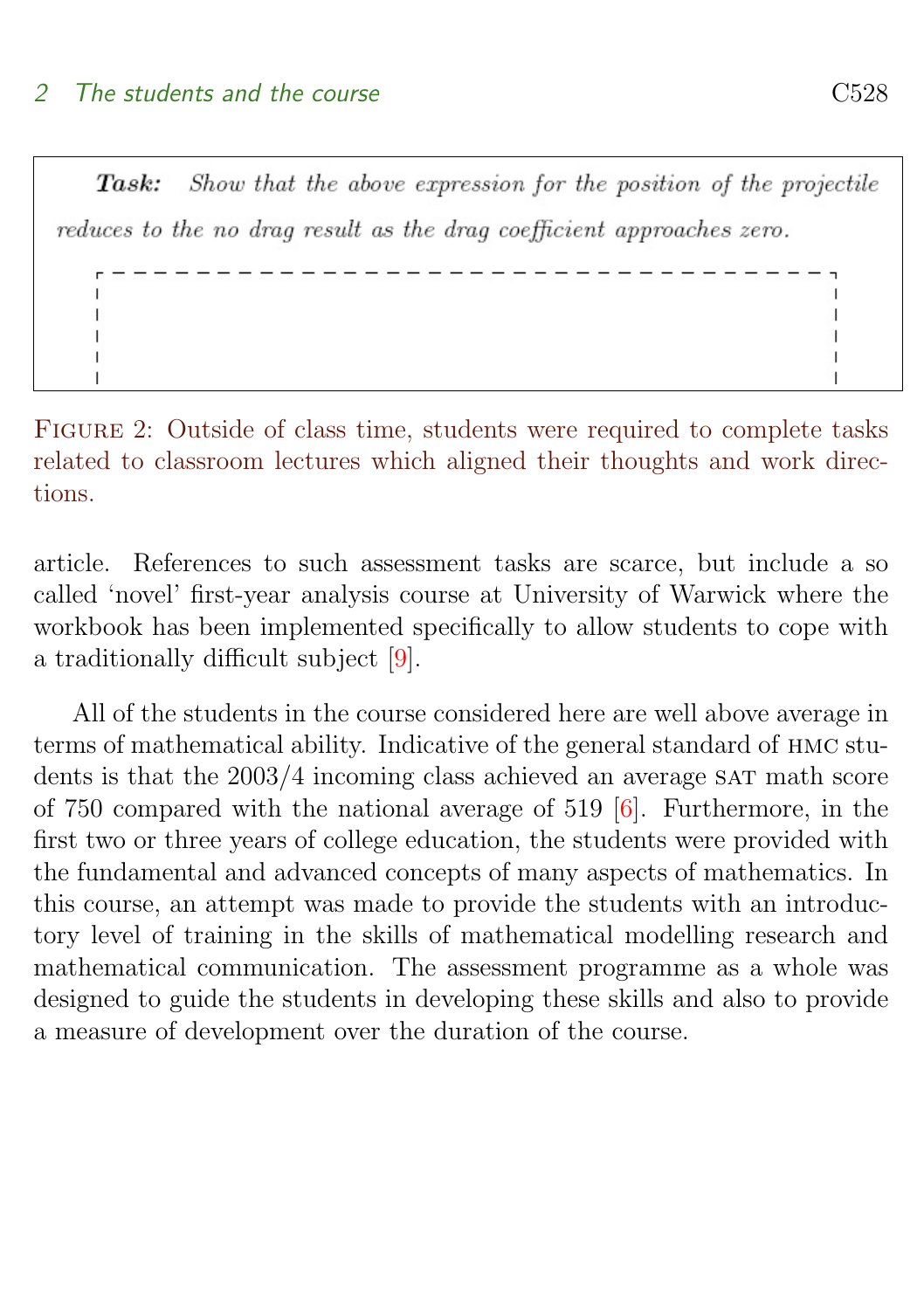<span id="page-4-2"></span>Show that the above expression for the position of the projectile  $Task:$ reduces to the no drag result as the drag coefficient approaches zero.

<span id="page-4-1"></span>Figure 2: Outside of class time, students were required to complete tasks related to classroom lectures which aligned their thoughts and work directions.

article. References to such assessment tasks are scarce, but include a so called 'novel' first-year analysis course at University of Warwick where the workbook has been implemented specifically to allow students to cope with a traditionally difficult subject [\[9\]](#page-15-0).

<span id="page-4-0"></span>All of the students in the course considered here are well above average in terms of mathematical ability. Indicative of the general standard of hmc students is that the  $2003/4$  incoming class achieved an average SAT math score of 750 compared with the national average of 519 [\[6\]](#page-15-1). Furthermore, in the first two or three years of college education, the students were provided with the fundamental and advanced concepts of many aspects of mathematics. In this course, an attempt was made to provide the students with an introductory level of training in the skills of mathematical modelling research and mathematical communication. The assessment programme as a whole was designed to guide the students in developing these skills and also to provide a measure of development over the duration of the course.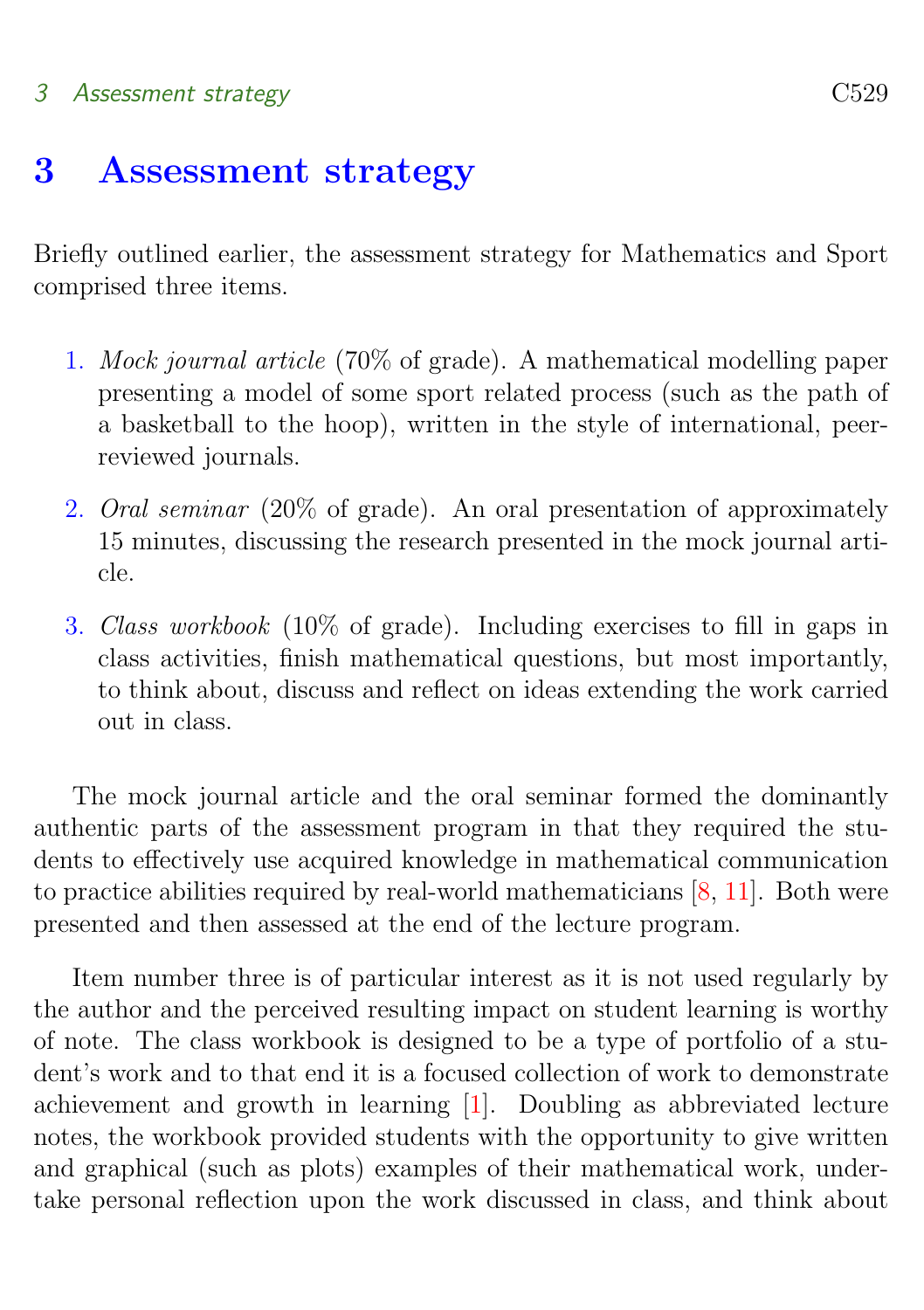## <span id="page-5-0"></span>3 Assessment strategy C529

## 3 Assessment strategy

Briefly outlined earlier, the assessment strategy for Mathematics and Sport comprised three items.

- 1. Mock journal article (70% of grade). A mathematical modelling paper presenting a model of some sport related process (such as the path of a basketball to the hoop), written in the style of international, peerreviewed journals.
- 2. Oral seminar (20% of grade). An oral presentation of approximately 15 minutes, discussing the research presented in the mock journal article.
- 3. Class workbook (10% of grade). Including exercises to fill in gaps in class activities, finish mathematical questions, but most importantly, to think about, discuss and reflect on ideas extending the work carried out in class.

The mock journal article and the oral seminar formed the dominantly authentic parts of the assessment program in that they required the students to effectively use acquired knowledge in mathematical communication to practice abilities required by real-world mathematicians [\[8,](#page-15-2) [11\]](#page-16-0). Both were presented and then assessed at the end of the lecture program.

Item number three is of particular interest as it is not used regularly by the author and the perceived resulting impact on student learning is worthy of note. The class workbook is designed to be a type of portfolio of a student's work and to that end it is a focused collection of work to demonstrate achievement and growth in learning [\[1\]](#page-14-1). Doubling as abbreviated lecture notes, the workbook provided students with the opportunity to give written and graphical (such as plots) examples of their mathematical work, undertake personal reflection upon the work discussed in class, and think about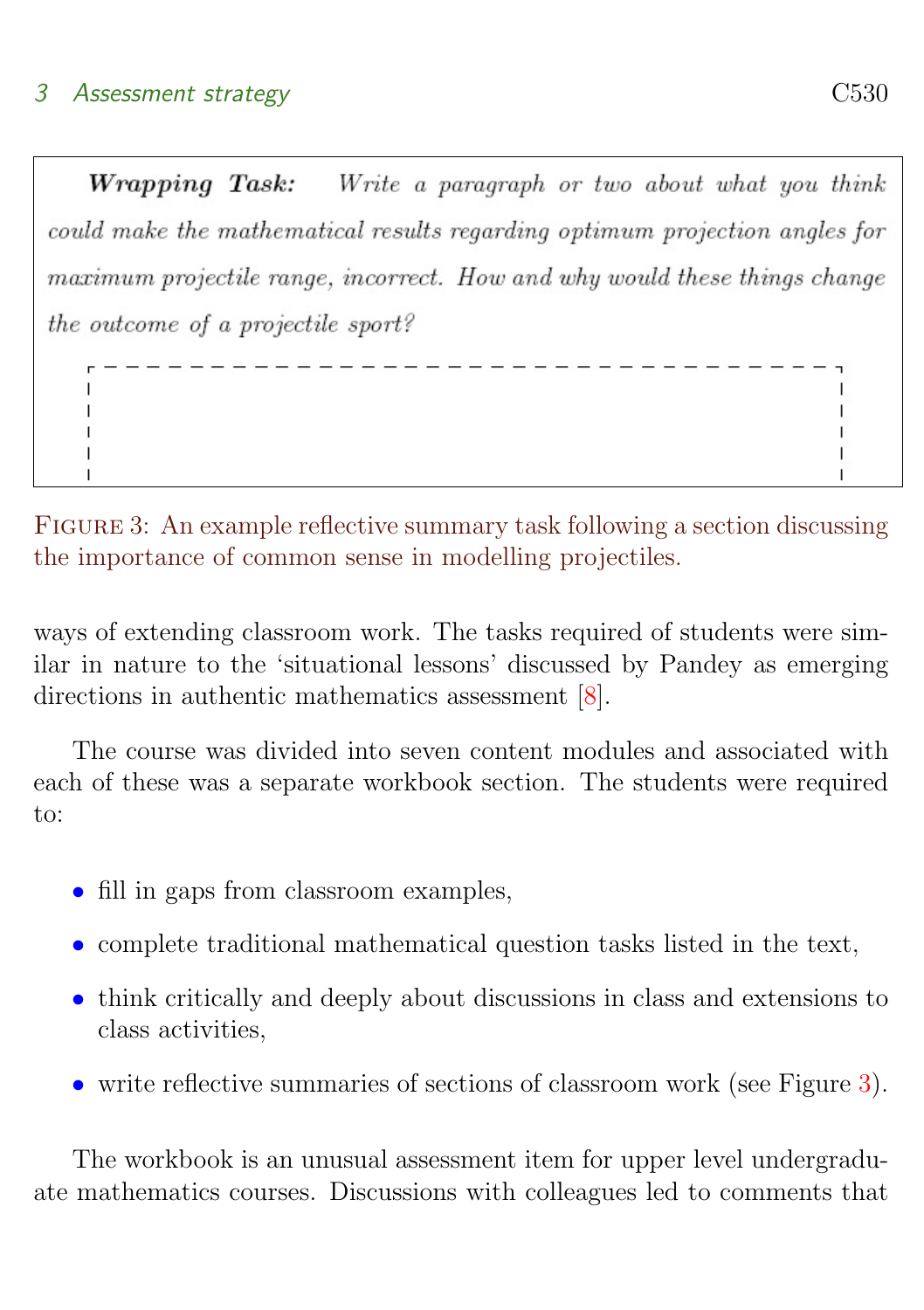<span id="page-6-1"></span>**Wrapping Task:** Write a paragraph or two about what you think could make the mathematical results regarding optimum projection angles for maximum projectile range, incorrect. How and why would these things change the outcome of a projectile sport?

\_\_\_\_\_\_\_\_\_\_\_\_\_

<span id="page-6-0"></span>Figure 3: An example reflective summary task following a section discussing the importance of common sense in modelling projectiles.

ways of extending classroom work. The tasks required of students were similar in nature to the 'situational lessons' discussed by Pandey as emerging directions in authentic mathematics assessment [\[8\]](#page-15-2).

The course was divided into seven content modules and associated with each of these was a separate workbook section. The students were required to:

- fill in gaps from classroom examples,
- complete traditional mathematical question tasks listed in the text,
- think critically and deeply about discussions in class and extensions to class activities,
- write reflective summaries of sections of classroom work (see Figure [3\)](#page-6-0).

The workbook is an unusual assessment item for upper level undergraduate mathematics courses. Discussions with colleagues led to comments that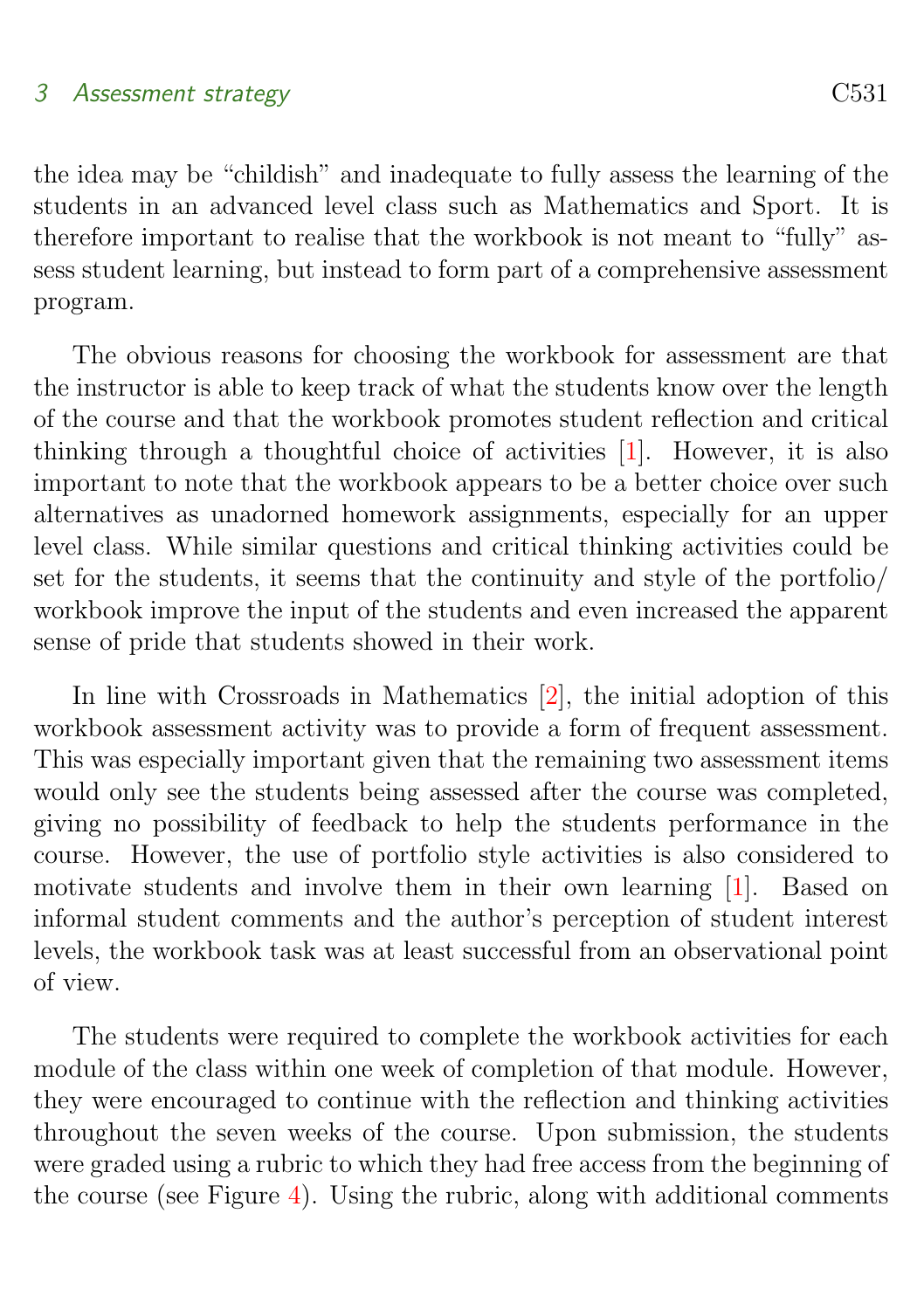## <span id="page-7-0"></span>3 Assessment strategy C531

the idea may be "childish" and inadequate to fully assess the learning of the students in an advanced level class such as Mathematics and Sport. It is therefore important to realise that the workbook is not meant to "fully" assess student learning, but instead to form part of a comprehensive assessment program.

The obvious reasons for choosing the workbook for assessment are that the instructor is able to keep track of what the students know over the length of the course and that the workbook promotes student reflection and critical thinking through a thoughtful choice of activities [\[1\]](#page-14-1). However, it is also important to note that the workbook appears to be a better choice over such alternatives as unadorned homework assignments, especially for an upper level class. While similar questions and critical thinking activities could be set for the students, it seems that the continuity and style of the portfolio/ workbook improve the input of the students and even increased the apparent sense of pride that students showed in their work.

In line with Crossroads in Mathematics [\[2\]](#page-15-3), the initial adoption of this workbook assessment activity was to provide a form of frequent assessment. This was especially important given that the remaining two assessment items would only see the students being assessed after the course was completed, giving no possibility of feedback to help the students performance in the course. However, the use of portfolio style activities is also considered to motivate students and involve them in their own learning [\[1\]](#page-14-1). Based on informal student comments and the author's perception of student interest levels, the workbook task was at least successful from an observational point of view.

The students were required to complete the workbook activities for each module of the class within one week of completion of that module. However, they were encouraged to continue with the reflection and thinking activities throughout the seven weeks of the course. Upon submission, the students were graded using a rubric to which they had free access from the beginning of the course (see Figure [4\)](#page-8-0). Using the rubric, along with additional comments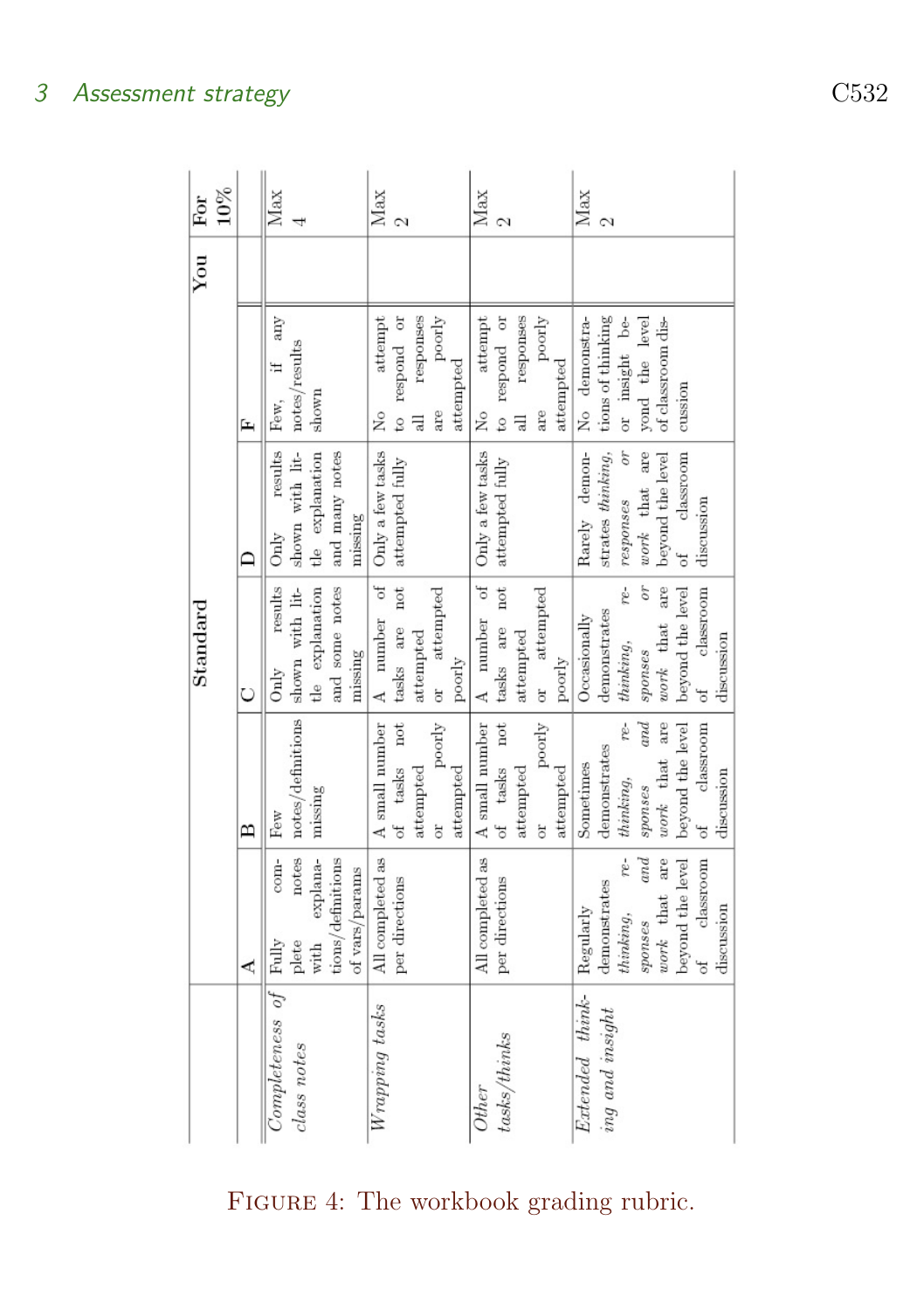|                       |                   |                                                | $_{\rm Standard}$        |                                                                             |                        | You | $10\%$<br>For |
|-----------------------|-------------------|------------------------------------------------|--------------------------|-----------------------------------------------------------------------------|------------------------|-----|---------------|
|                       | ⋖                 | В                                              | Ò                        | ≏                                                                           | 匞                      |     |               |
| Completeness of Fully | com-              | Few                                            | results<br>Only          | results<br>Only                                                             | any<br>Few,            |     | Max           |
| class notes           | notes<br>plete    | notes/definitions                              | shown with lit-          |                                                                             | notes/results          |     |               |
|                       | explana-<br>with  | missing                                        | tle explanation          | $\begin{tabular}{ll} shown & with & lit-\\ the & explanation \end{tabular}$ | shown                  |     |               |
|                       | tions/definitions |                                                | and some notes           | and many notes                                                              |                        |     |               |
|                       | of vars/params    |                                                | missing                  | missing                                                                     |                        |     |               |
| Wrapping tasks        | All completed as  | A small number                                 | A number of              | Only a few tasks                                                            | attempt<br>Σó          |     | Max           |
|                       | per directions    | of tasks not                                   | tasks are not            | attempted fully                                                             | to respond or          |     |               |
|                       |                   | attempted                                      | attempted                |                                                                             | responses<br>긚         |     |               |
|                       |                   | poorly<br>ă                                    | or attempted             |                                                                             | poorly<br>are          |     |               |
|                       |                   | attempted                                      | poorly                   |                                                                             | attempted              |     |               |
| <b>Other</b>          | All completed as  | A small number                                 | A number of              | Only a few tasks                                                            | attempt<br>Χo          |     | Max           |
| $task$ s/thinks       | per directions    | of tasks not                                   | tasks are not            | attempted fully                                                             | to respond or          |     | N             |
|                       |                   | attempted                                      | attempted                |                                                                             | responses<br>$\exists$ |     |               |
|                       |                   | poorly<br>ă                                    | attempted<br>or.         |                                                                             | poorly<br>are          |     |               |
|                       |                   | attempted                                      | poorly                   |                                                                             | attempted              |     |               |
| Extended think-       | Regularly         | Sometimes                                      | Occasionally             | Rarely demon-                                                               | No demonstra-          |     | Max           |
| ing and insight       | demonstrates      | demonstrates                                   | demonstrates             | strates thinking,   tions of thinking                                       |                        |     | N             |
|                       | $re-$<br>thining, | re-<br>thinking,                               | re-<br>$\n  thinking,\n$ | responses or                                                                | or insight be-         |     |               |
|                       | and<br>spos       | $\hspace{0.5pt} and \hspace{0.5pt}$<br>sponses | σr<br>sponses            | work that are                                                               | yond the level         |     |               |
|                       | work that are     | work that are                                  | work that are            | beyond the level                                                            | of classroom dis-      |     |               |
|                       | beyond the level  | beyond the level                               | beyond the level         | classroom<br>$\sigma f$                                                     | cussion                |     |               |
|                       | of classroom      | of classroom                                   | classroom<br>of          | discussion                                                                  |                        |     |               |
|                       | discussion        | discussion                                     | discussion               |                                                                             |                        |     |               |

## <span id="page-8-0"></span>FIGURE 4: The workbook grading rubric.

3 Assessment strategy C532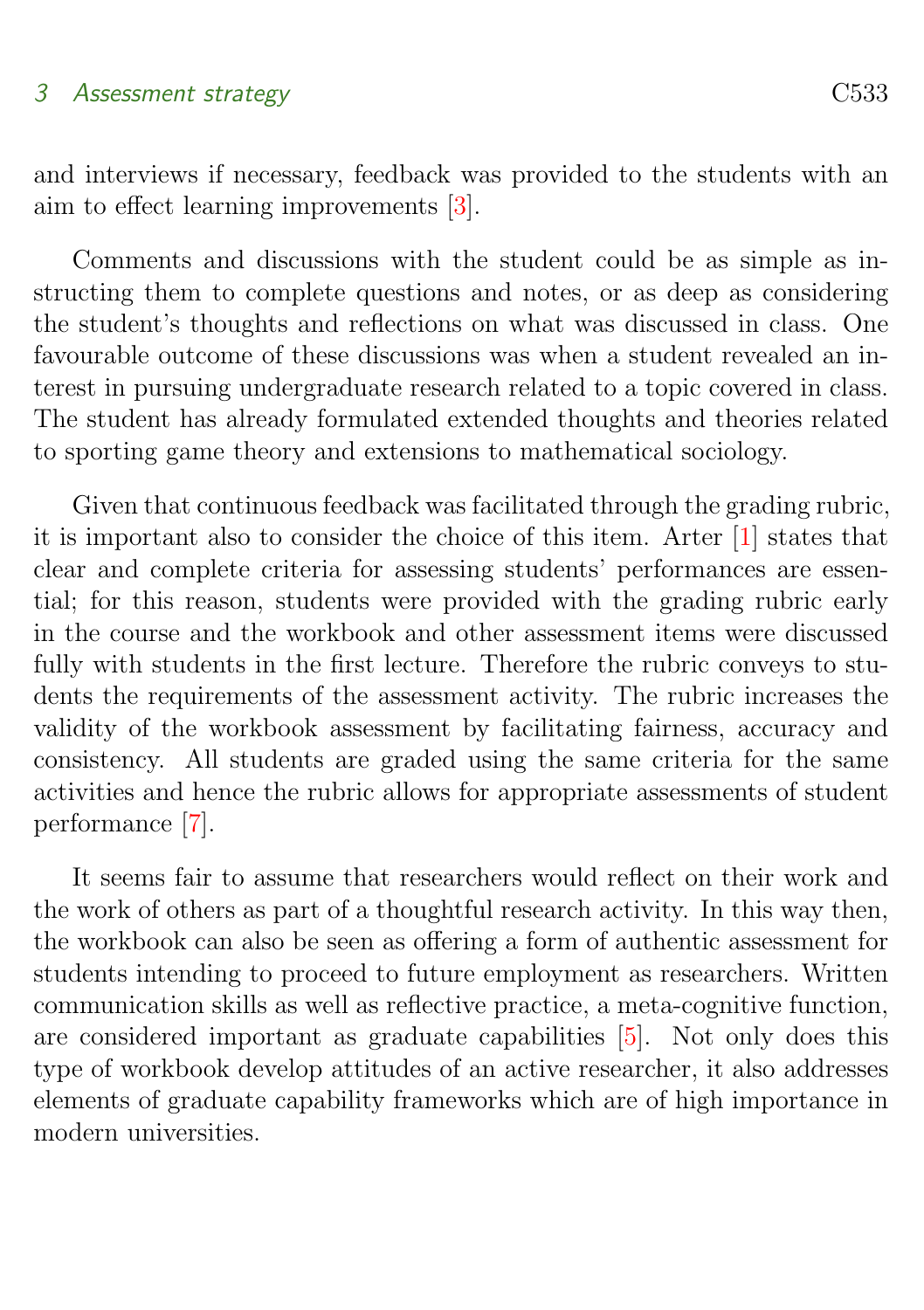### <span id="page-9-1"></span>3 Assessment strategy C533

and interviews if necessary, feedback was provided to the students with an aim to effect learning improvements [\[3\]](#page-15-4).

Comments and discussions with the student could be as simple as instructing them to complete questions and notes, or as deep as considering the student's thoughts and reflections on what was discussed in class. One favourable outcome of these discussions was when a student revealed an interest in pursuing undergraduate research related to a topic covered in class. The student has already formulated extended thoughts and theories related to sporting game theory and extensions to mathematical sociology.

Given that continuous feedback was facilitated through the grading rubric, it is important also to consider the choice of this item. Arter [\[1\]](#page-14-1) states that clear and complete criteria for assessing students' performances are essential; for this reason, students were provided with the grading rubric early in the course and the workbook and other assessment items were discussed fully with students in the first lecture. Therefore the rubric conveys to students the requirements of the assessment activity. The rubric increases the validity of the workbook assessment by facilitating fairness, accuracy and consistency. All students are graded using the same criteria for the same activities and hence the rubric allows for appropriate assessments of student performance [\[7\]](#page-15-5).

<span id="page-9-0"></span>It seems fair to assume that researchers would reflect on their work and the work of others as part of a thoughtful research activity. In this way then, the workbook can also be seen as offering a form of authentic assessment for students intending to proceed to future employment as researchers. Written communication skills as well as reflective practice, a meta-cognitive function, are considered important as graduate capabilities [\[5\]](#page-15-6). Not only does this type of workbook develop attitudes of an active researcher, it also addresses elements of graduate capability frameworks which are of high importance in modern universities.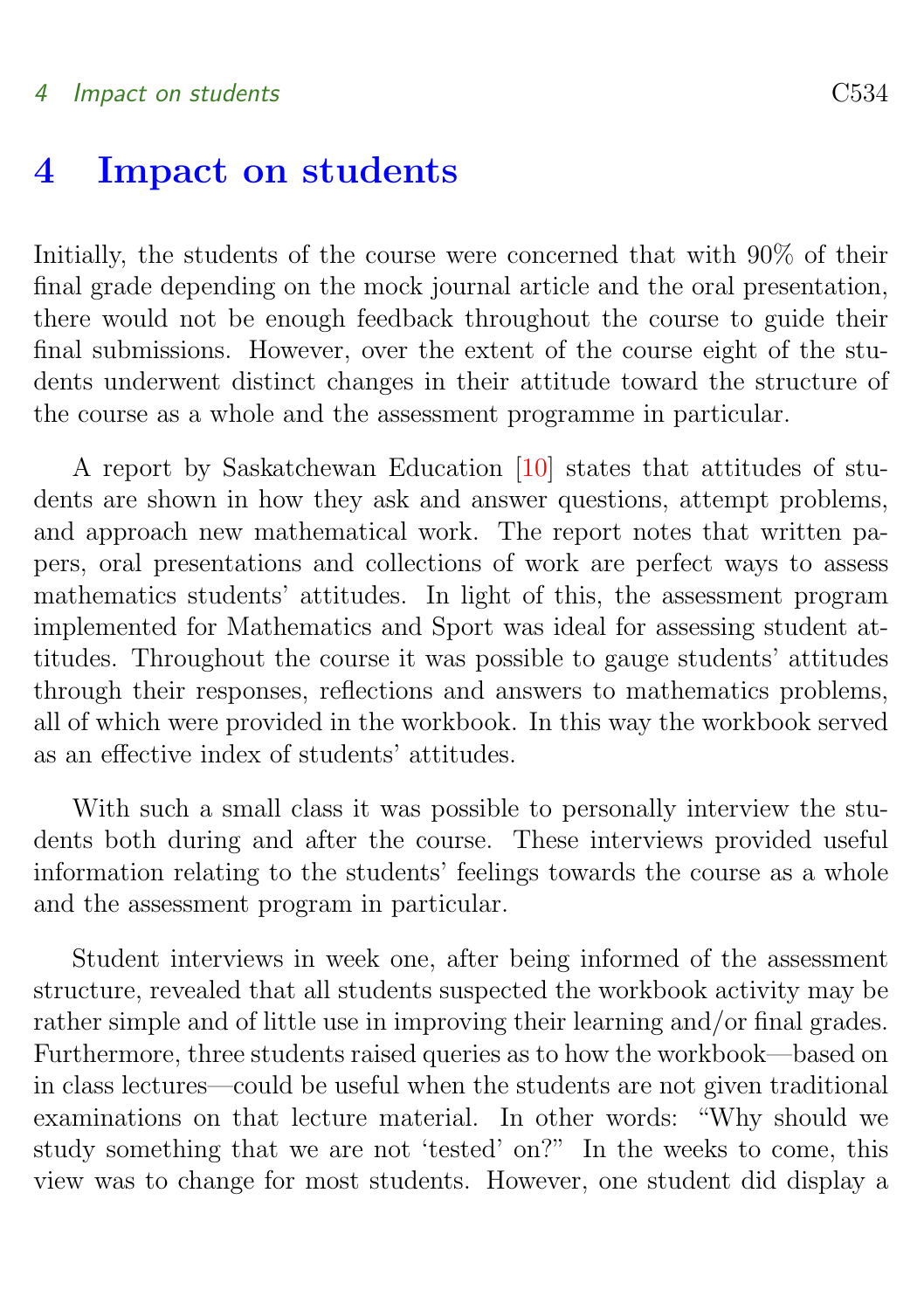## <span id="page-10-0"></span>4 Impact on students C534

## 4 Impact on students

Initially, the students of the course were concerned that with 90% of their final grade depending on the mock journal article and the oral presentation, there would not be enough feedback throughout the course to guide their final submissions. However, over the extent of the course eight of the students underwent distinct changes in their attitude toward the structure of the course as a whole and the assessment programme in particular.

A report by Saskatchewan Education [\[10\]](#page-16-1) states that attitudes of students are shown in how they ask and answer questions, attempt problems, and approach new mathematical work. The report notes that written papers, oral presentations and collections of work are perfect ways to assess mathematics students' attitudes. In light of this, the assessment program implemented for Mathematics and Sport was ideal for assessing student attitudes. Throughout the course it was possible to gauge students' attitudes through their responses, reflections and answers to mathematics problems, all of which were provided in the workbook. In this way the workbook served as an effective index of students' attitudes.

With such a small class it was possible to personally interview the students both during and after the course. These interviews provided useful information relating to the students' feelings towards the course as a whole and the assessment program in particular.

Student interviews in week one, after being informed of the assessment structure, revealed that all students suspected the workbook activity may be rather simple and of little use in improving their learning and/or final grades. Furthermore, three students raised queries as to how the workbook—based on in class lectures—could be useful when the students are not given traditional examinations on that lecture material. In other words: "Why should we study something that we are not 'tested' on?" In the weeks to come, this view was to change for most students. However, one student did display a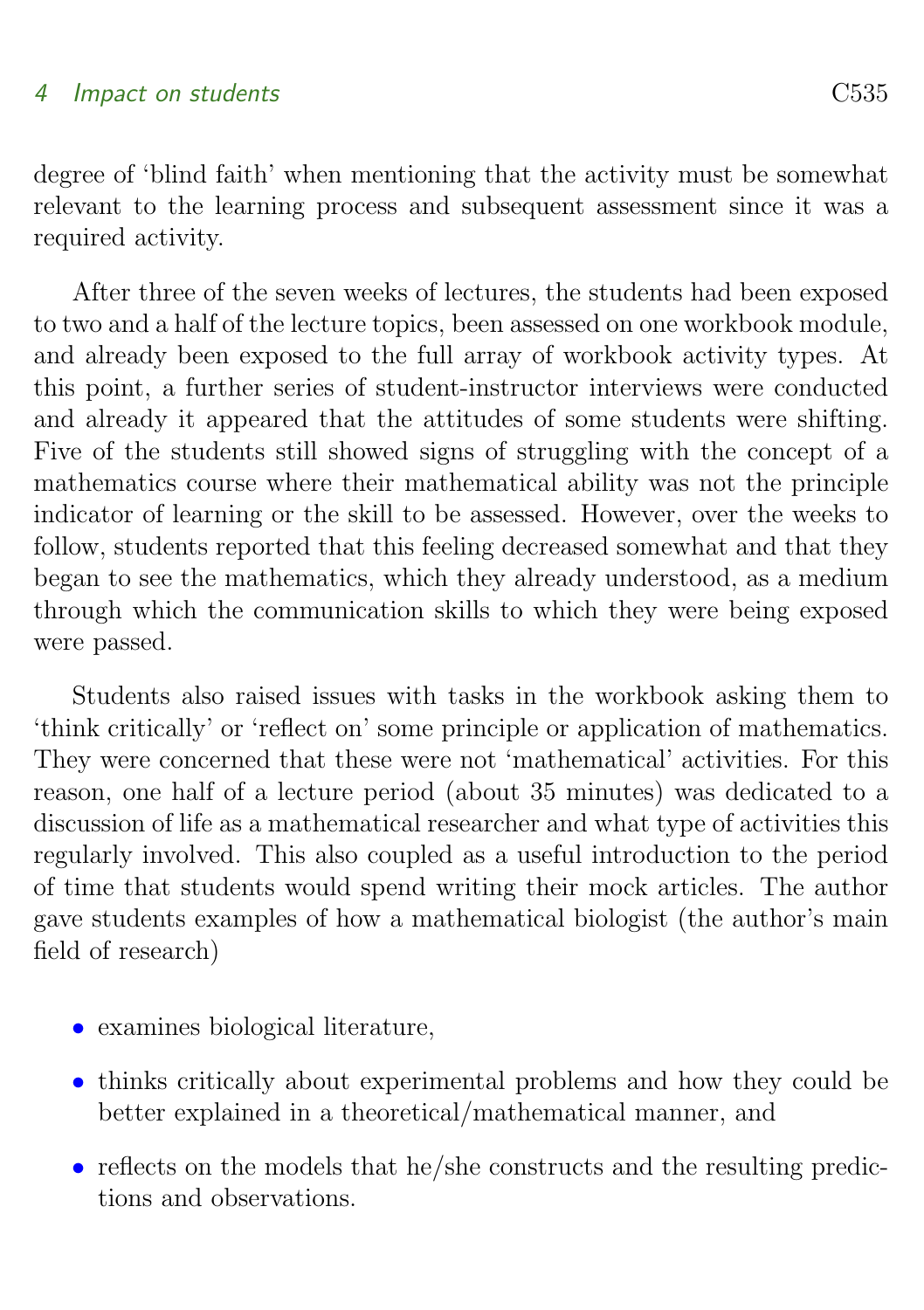## 4 Impact on students C535

degree of 'blind faith' when mentioning that the activity must be somewhat relevant to the learning process and subsequent assessment since it was a required activity.

After three of the seven weeks of lectures, the students had been exposed to two and a half of the lecture topics, been assessed on one workbook module, and already been exposed to the full array of workbook activity types. At this point, a further series of student-instructor interviews were conducted and already it appeared that the attitudes of some students were shifting. Five of the students still showed signs of struggling with the concept of a mathematics course where their mathematical ability was not the principle indicator of learning or the skill to be assessed. However, over the weeks to follow, students reported that this feeling decreased somewhat and that they began to see the mathematics, which they already understood, as a medium through which the communication skills to which they were being exposed were passed.

Students also raised issues with tasks in the workbook asking them to 'think critically' or 'reflect on' some principle or application of mathematics. They were concerned that these were not 'mathematical' activities. For this reason, one half of a lecture period (about 35 minutes) was dedicated to a discussion of life as a mathematical researcher and what type of activities this regularly involved. This also coupled as a useful introduction to the period of time that students would spend writing their mock articles. The author gave students examples of how a mathematical biologist (the author's main field of research)

- examines biological literature,
- thinks critically about experimental problems and how they could be better explained in a theoretical/mathematical manner, and
- reflects on the models that he/she constructs and the resulting predictions and observations.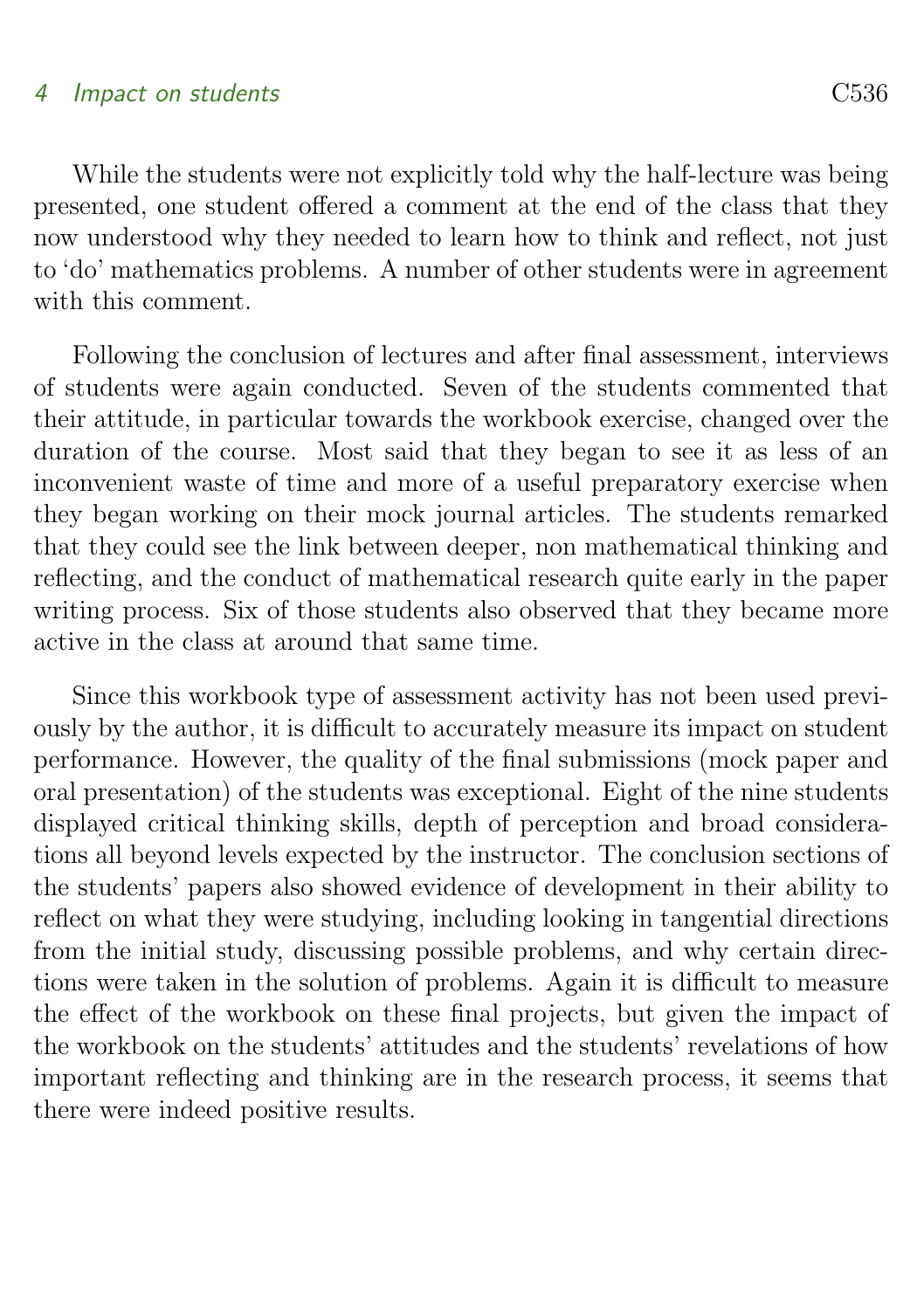## 4 Impact on students C536

While the students were not explicitly told why the half-lecture was being presented, one student offered a comment at the end of the class that they now understood why they needed to learn how to think and reflect, not just to 'do' mathematics problems. A number of other students were in agreement with this comment.

Following the conclusion of lectures and after final assessment, interviews of students were again conducted. Seven of the students commented that their attitude, in particular towards the workbook exercise, changed over the duration of the course. Most said that they began to see it as less of an inconvenient waste of time and more of a useful preparatory exercise when they began working on their mock journal articles. The students remarked that they could see the link between deeper, non mathematical thinking and reflecting, and the conduct of mathematical research quite early in the paper writing process. Six of those students also observed that they became more active in the class at around that same time.

<span id="page-12-0"></span>Since this workbook type of assessment activity has not been used previously by the author, it is difficult to accurately measure its impact on student performance. However, the quality of the final submissions (mock paper and oral presentation) of the students was exceptional. Eight of the nine students displayed critical thinking skills, depth of perception and broad considerations all beyond levels expected by the instructor. The conclusion sections of the students' papers also showed evidence of development in their ability to reflect on what they were studying, including looking in tangential directions from the initial study, discussing possible problems, and why certain directions were taken in the solution of problems. Again it is difficult to measure the effect of the workbook on these final projects, but given the impact of the workbook on the students' attitudes and the students' revelations of how important reflecting and thinking are in the research process, it seems that there were indeed positive results.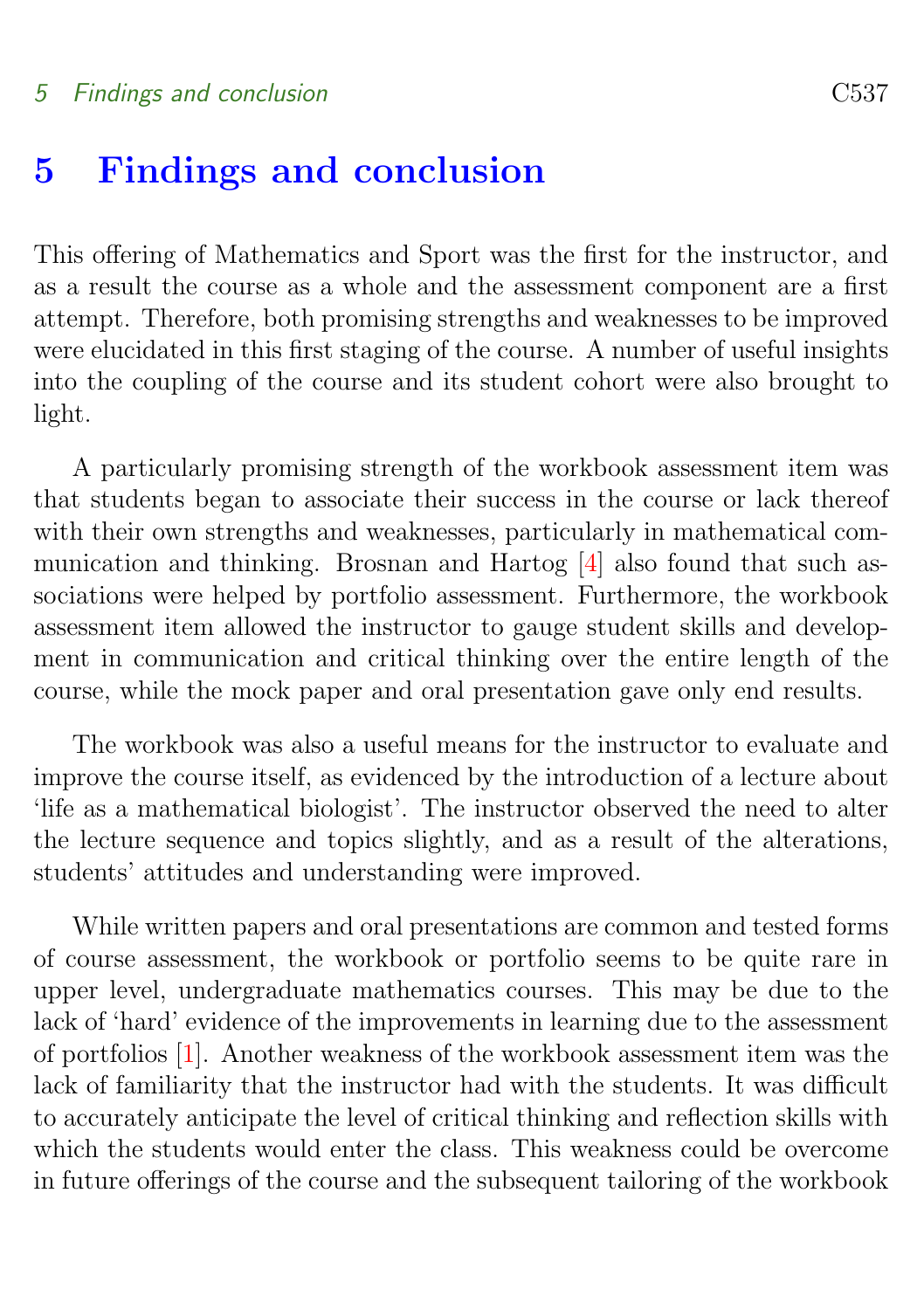# <span id="page-13-0"></span>5 Findings and conclusion

This offering of Mathematics and Sport was the first for the instructor, and as a result the course as a whole and the assessment component are a first attempt. Therefore, both promising strengths and weaknesses to be improved were elucidated in this first staging of the course. A number of useful insights into the coupling of the course and its student cohort were also brought to light.

A particularly promising strength of the workbook assessment item was that students began to associate their success in the course or lack thereof with their own strengths and weaknesses, particularly in mathematical communication and thinking. Brosnan and Hartog [\[4\]](#page-15-7) also found that such associations were helped by portfolio assessment. Furthermore, the workbook assessment item allowed the instructor to gauge student skills and development in communication and critical thinking over the entire length of the course, while the mock paper and oral presentation gave only end results.

The workbook was also a useful means for the instructor to evaluate and improve the course itself, as evidenced by the introduction of a lecture about 'life as a mathematical biologist'. The instructor observed the need to alter the lecture sequence and topics slightly, and as a result of the alterations, students' attitudes and understanding were improved.

While written papers and oral presentations are common and tested forms of course assessment, the workbook or portfolio seems to be quite rare in upper level, undergraduate mathematics courses. This may be due to the lack of 'hard' evidence of the improvements in learning due to the assessment of portfolios [\[1\]](#page-14-1). Another weakness of the workbook assessment item was the lack of familiarity that the instructor had with the students. It was difficult to accurately anticipate the level of critical thinking and reflection skills with which the students would enter the class. This weakness could be overcome in future offerings of the course and the subsequent tailoring of the workbook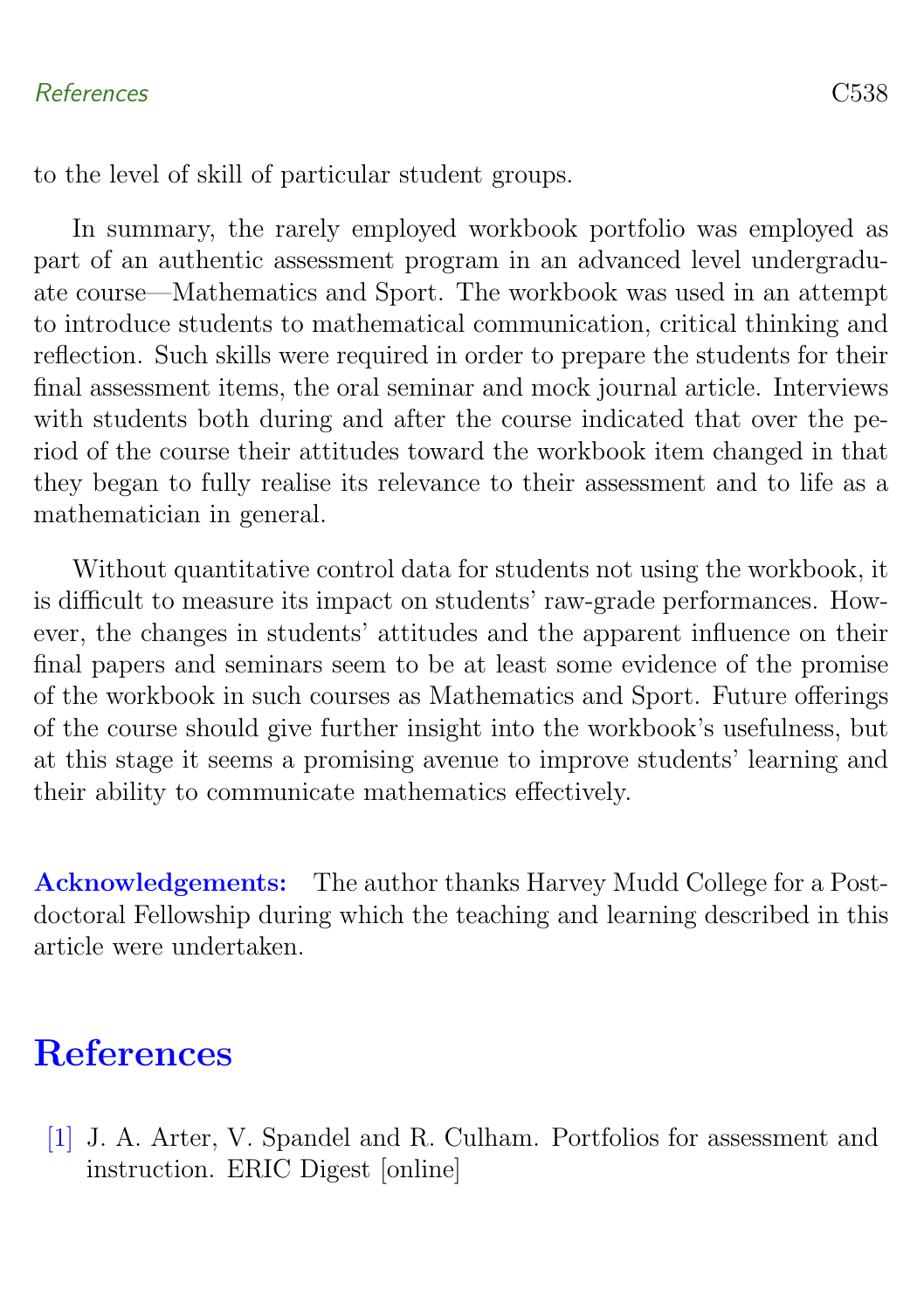## References C538

to the level of skill of particular student groups.

In summary, the rarely employed workbook portfolio was employed as part of an authentic assessment program in an advanced level undergraduate course—Mathematics and Sport. The workbook was used in an attempt to introduce students to mathematical communication, critical thinking and reflection. Such skills were required in order to prepare the students for their final assessment items, the oral seminar and mock journal article. Interviews with students both during and after the course indicated that over the period of the course their attitudes toward the workbook item changed in that they began to fully realise its relevance to their assessment and to life as a mathematician in general.

Without quantitative control data for students not using the workbook, it is difficult to measure its impact on students' raw-grade performances. However, the changes in students' attitudes and the apparent influence on their final papers and seminars seem to be at least some evidence of the promise of the workbook in such courses as Mathematics and Sport. Future offerings of the course should give further insight into the workbook's usefulness, but at this stage it seems a promising avenue to improve students' learning and their ability to communicate mathematics effectively.

Acknowledgements: The author thanks Harvey Mudd College for a Postdoctoral Fellowship during which the teaching and learning described in this article were undertaken.

# **References**

<span id="page-14-1"></span><span id="page-14-0"></span>[1] J. A. Arter, V. Spandel and R. Culham. Portfolios for assessment and instruction. ERIC Digest [online]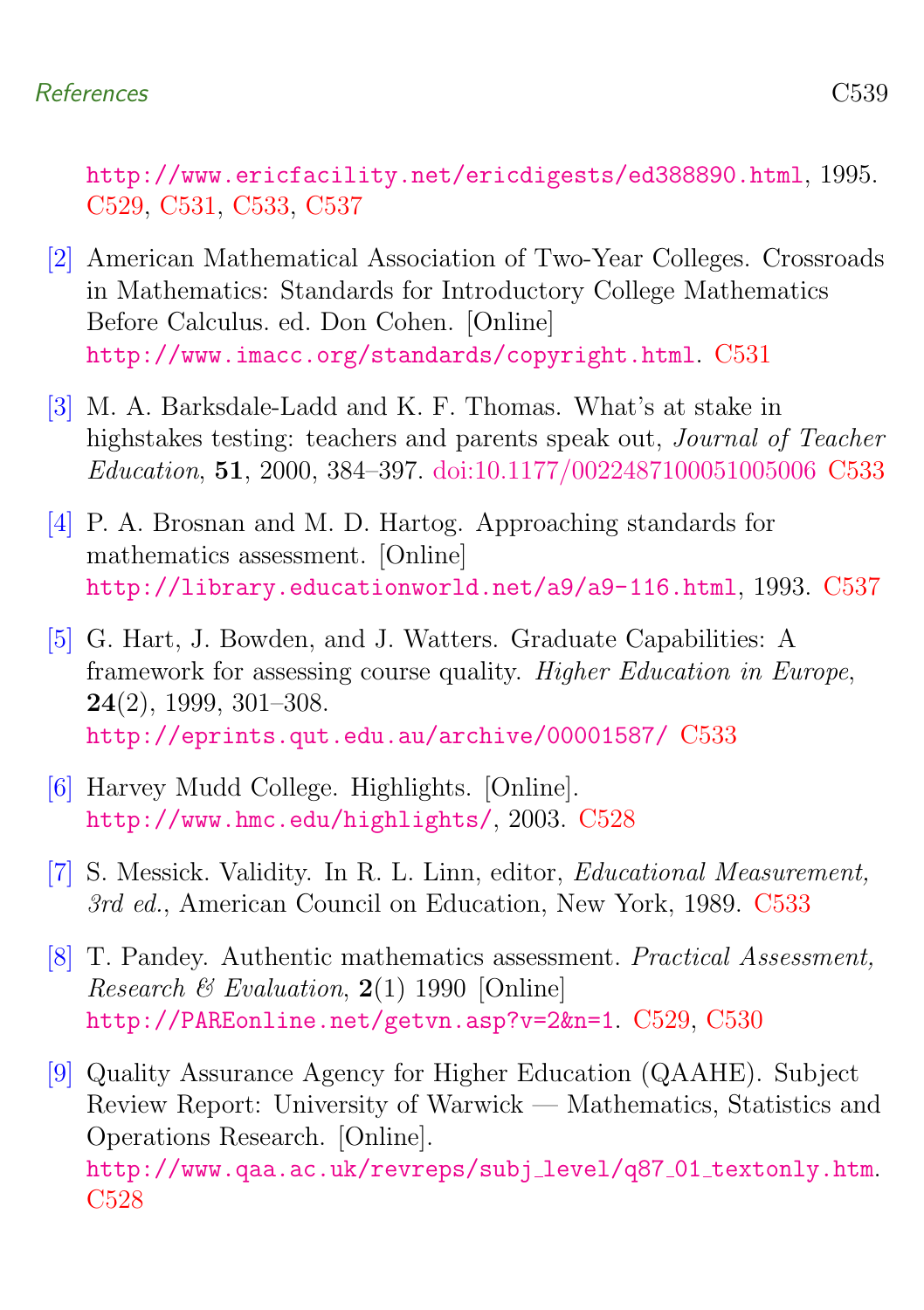<http://www.ericfacility.net/ericdigests/ed388890.html>, 1995. [C529,](#page-5-0) [C531,](#page-7-0) [C533,](#page-9-1) [C537](#page-13-0)

- <span id="page-15-3"></span>[2] American Mathematical Association of Two-Year Colleges. Crossroads in Mathematics: Standards for Introductory College Mathematics Before Calculus. ed. Don Cohen. [Online] <http://www.imacc.org/standards/copyright.html>. [C531](#page-7-0)
- <span id="page-15-4"></span>[3] M. A. Barksdale-Ladd and K. F. Thomas. What's at stake in highstakes testing: teachers and parents speak out, Journal of Teacher Education, 51, 2000, 384–397. [doi:10.1177/0022487100051005006](http://dx.doi.org/10.1177/0022487100051005006) [C533](#page-9-1)
- <span id="page-15-7"></span>[4] P. A. Brosnan and M. D. Hartog. Approaching standards for mathematics assessment. [Online] <http://library.educationworld.net/a9/a9-116.html>, 1993. [C537](#page-13-0)
- <span id="page-15-6"></span>[5] G. Hart, J. Bowden, and J. Watters. Graduate Capabilities: A framework for assessing course quality. Higher Education in Europe, 24(2), 1999, 301–308. <http://eprints.qut.edu.au/archive/00001587/> [C533](#page-9-1)
- <span id="page-15-1"></span>[6] Harvey Mudd College. Highlights. [Online]. <http://www.hmc.edu/highlights/>, 2003. [C528](#page-4-2)
- <span id="page-15-5"></span>[7] S. Messick. Validity. In R. L. Linn, editor, Educational Measurement, 3rd ed., American Council on Education, New York, 1989. [C533](#page-9-1)
- <span id="page-15-2"></span>[8] T. Pandey. Authentic mathematics assessment. Practical Assessment, *Research & Evaluation,*  $2(1)$  1990 [Online] <http://PAREonline.net/getvn.asp?v=2&n=1>. [C529,](#page-5-0) [C530](#page-6-1)
- <span id="page-15-0"></span>[9] Quality Assurance Agency for Higher Education (QAAHE). Subject Review Report: University of Warwick — Mathematics, Statistics and Operations Research. [Online]. [http://www.qaa.ac.uk/revreps/subj](http://www.qaa.ac.uk/revreps/subj_level/q87_01_textonly.htm)\_level/q87\_01\_textonly.htm [C528](#page-4-2)